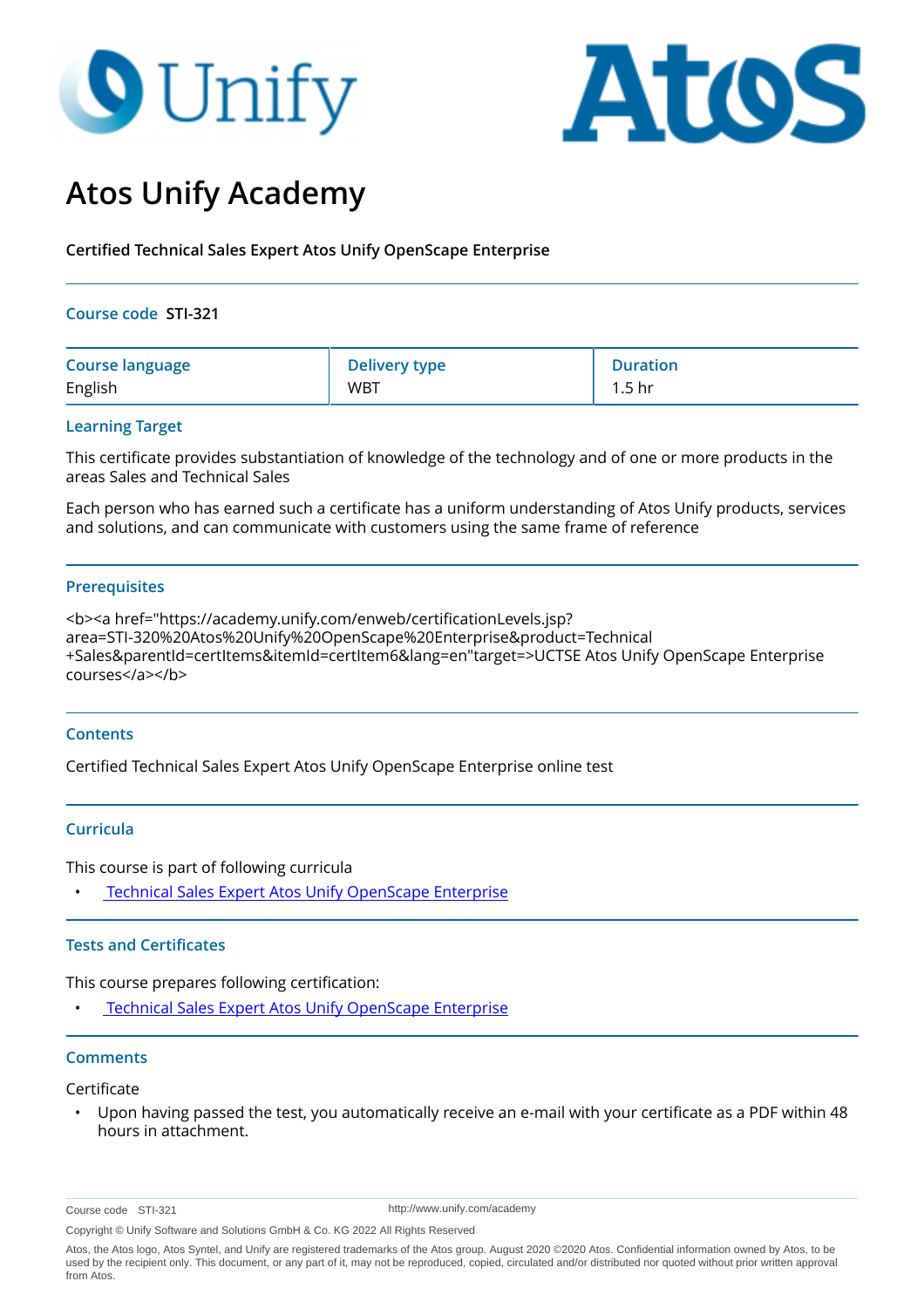# **O** Unify



# **Atos Unify Academy**

**Certified Technical Sales Expert Atos Unify OpenScape Enterprise**

#### **Course code STI-321**

| <b>Course language</b> | <b>Delivery type</b> | <b>Duration</b> |
|------------------------|----------------------|-----------------|
| English                | <b>WBT</b>           | 1.5 hr          |

#### **Learning Target**

This certificate provides substantiation of knowledge of the technology and of one or more products in the areas Sales and Technical Sales

Each person who has earned such a certificate has a uniform understanding of Atos Unify products, services and solutions, and can communicate with customers using the same frame of reference

#### **Prerequisites**

<b><a href="https://academy.unify.com/enweb/certificationLevels.jsp? area=STI-320%20Atos%20Unify%20OpenScape%20Enterprise&product=Technical +Sales&parentId=certItems&itemId=certItem6&lang=en"target=>UCTSE Atos Unify OpenScape Enterprise courses</a></b>

#### **Contents**

Certified Technical Sales Expert Atos Unify OpenScape Enterprise online test

## **Curricula**

This course is part of following curricula

• [Technical Sales Expert Atos Unify OpenScape Enterprise](
https://academy.unify.com/enweb/beschreibung1.jsp?Chain=BAAADWB
)

## **Tests and Certificates**

This course prepares following certification:

• [Technical Sales Expert Atos Unify OpenScape Enterprise](
https://academy.unify.com/enweb/certificationLevels.jsp?area=STI-321 Atos Unify OpenScape Enterprise&product=Technical Sales
)

#### **Comments**

Certificate

• Upon having passed the test, you automatically receive an e-mail with your certificate as a PDF within 48 hours in attachment.

http://www.unify.com/academy

Copyright © Unify Software and Solutions GmbH & Co. KG 2022 All Rights Reserved

Course code STI-321

Atos, the Atos logo, Atos Syntel, and Unify are registered trademarks of the Atos group. August 2020 ©2020 Atos. Confidential information owned by Atos, to be used by the recipient only. This document, or any part of it, may not be reproduced, copied, circulated and/or distributed nor quoted without prior written approval from Atos.